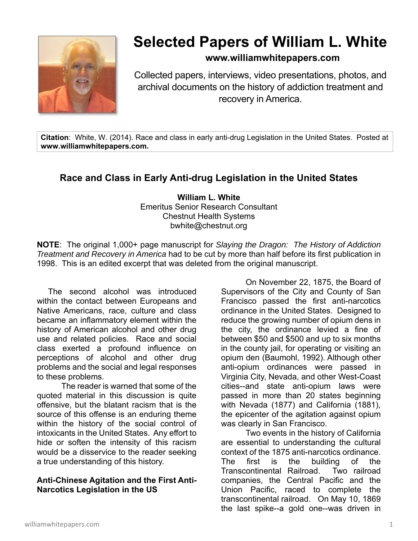

# **Selected Papers of William L. White**

## **www.williamwhitepapers.com**

Collected papers, interviews, video presentations, photos, and archival documents on the history of addiction treatment and recovery in America.

**Citation**: White, W. (2014). Race and class in early anti-drug Legislation in the United States. Posted at **www.williamwhitepapers.com.** 

# **Race and Class in Early Anti-drug Legislation in the United States**

**William L. White**  Emeritus Senior Research Consultant Chestnut Health Systems bwhite@chestnut.org

**NOTE**: The original 1,000+ page manuscript for *Slaying the Dragon: The History of Addiction Treatment and Recovery in America* had to be cut by more than half before its first publication in 1998. This is an edited excerpt that was deleted from the original manuscript.

 The second alcohol was introduced within the contact between Europeans and Native Americans, race, culture and class became an inflammatory element within the history of American alcohol and other drug use and related policies. Race and social class exerted a profound influence on perceptions of alcohol and other drug problems and the social and legal responses to these problems.

The reader is warned that some of the quoted material in this discussion is quite offensive, but the blatant racism that is the source of this offense is an enduring theme within the history of the social control of intoxicants in the United States. Any effort to hide or soften the intensity of this racism would be a disservice to the reader seeking a true understanding of this history.

#### **Anti-Chinese Agitation and the First Anti-Narcotics Legislation in the US**

On November 22, 1875, the Board of Supervisors of the City and County of San Francisco passed the first anti-narcotics ordinance in the United States. Designed to reduce the growing number of opium dens in the city, the ordinance levied a fine of between \$50 and \$500 and up to six months in the county jail, for operating or visiting an opium den (Baumohl, 1992). Although other anti-opium ordinances were passed in Virginia City, Nevada, and other West-Coast cities--and state anti-opium laws were passed in more than 20 states beginning with Nevada (1877) and California (1881), the epicenter of the agitation against opium was clearly in San Francisco.

Two events in the history of California are essential to understanding the cultural context of the 1875 anti-narcotics ordinance. The first is the building of the Transcontinental Railroad. Two railroad companies, the Central Pacific and the Union Pacific, raced to complete the transcontinental railroad. On May 10, 1869 the last spike--a gold one--was driven in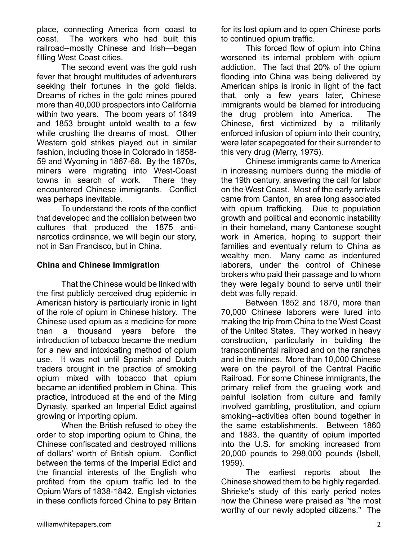place, connecting America from coast to coast. The workers who had built this railroad--mostly Chinese and Irish—began filling West Coast cities.

The second event was the gold rush fever that brought multitudes of adventurers seeking their fortunes in the gold fields. Dreams of riches in the gold mines poured more than 40,000 prospectors into California within two years. The boom years of 1849 and 1853 brought untold wealth to a few while crushing the dreams of most. Other Western gold strikes played out in similar fashion, including those in Colorado in 1858- 59 and Wyoming in 1867-68. By the 1870s, miners were migrating into West-Coast towns in search of work. There they encountered Chinese immigrants. Conflict was perhaps inevitable.

To understand the roots of the conflict that developed and the collision between two cultures that produced the 1875 antinarcotics ordinance, we will begin our story, not in San Francisco, but in China.

#### **China and Chinese Immigration**

That the Chinese would be linked with the first publicly perceived drug epidemic in American history is particularly ironic in light of the role of opium in Chinese history. The Chinese used opium as a medicine for more than a thousand years before the introduction of tobacco became the medium for a new and intoxicating method of opium use. It was not until Spanish and Dutch traders brought in the practice of smoking opium mixed with tobacco that opium became an identified problem in China. This practice, introduced at the end of the Ming Dynasty, sparked an Imperial Edict against growing or importing opium.

When the British refused to obey the order to stop importing opium to China, the Chinese confiscated and destroyed millions of dollars' worth of British opium. Conflict between the terms of the Imperial Edict and the financial interests of the English who profited from the opium traffic led to the Opium Wars of 1838-1842. English victories in these conflicts forced China to pay Britain

for its lost opium and to open Chinese ports to continued opium traffic.

This forced flow of opium into China worsened its internal problem with opium addiction. The fact that 20% of the opium flooding into China was being delivered by American ships is ironic in light of the fact that, only a few years later, Chinese immigrants would be blamed for introducing the drug problem into America. The Chinese, first victimized by a militarily enforced infusion of opium into their country, were later scapegoated for their surrender to this very drug (Merry, 1975).

Chinese immigrants came to America in increasing numbers during the middle of the 19th century, answering the call for labor on the West Coast. Most of the early arrivals came from Canton, an area long associated with opium trafficking. Due to population growth and political and economic instability in their homeland, many Cantonese sought work in America, hoping to support their families and eventually return to China as wealthy men. Many came as indentured laborers, under the control of Chinese brokers who paid their passage and to whom they were legally bound to serve until their debt was fully repaid.

Between 1852 and 1870, more than 70,000 Chinese laborers were lured into making the trip from China to the West Coast of the United States. They worked in heavy construction, particularly in building the transcontinental railroad and on the ranches and in the mines. More than 10,000 Chinese were on the payroll of the Central Pacific Railroad. For some Chinese immigrants, the primary relief from the grueling work and painful isolation from culture and family involved gambling, prostitution, and opium smoking--activities often bound together in the same establishments. Between 1860 and 1883, the quantity of opium imported into the U.S. for smoking increased from 20,000 pounds to 298,000 pounds (Isbell, 1959).

The earliest reports about the Chinese showed them to be highly regarded. Shrieke's study of this early period notes how the Chinese were praised as "the most worthy of our newly adopted citizens." The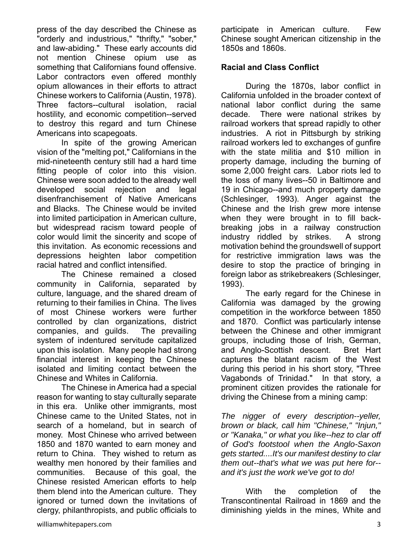press of the day described the Chinese as "orderly and industrious," "thrifty," "sober," and law-abiding." These early accounts did not mention Chinese opium use as something that Californians found offensive. Labor contractors even offered monthly opium allowances in their efforts to attract Chinese workers to California (Austin, 1978). Three factors--cultural isolation, racial hostility, and economic competition--served to destroy this regard and turn Chinese Americans into scapegoats.

In spite of the growing American vision of the "melting pot," Californians in the mid-nineteenth century still had a hard time fitting people of color into this vision. Chinese were soon added to the already well developed social rejection and legal disenfranchisement of Native Americans and Blacks. The Chinese would be invited into limited participation in American culture, but widespread racism toward people of color would limit the sincerity and scope of this invitation. As economic recessions and depressions heighten labor competition racial hatred and conflict intensified.

 The Chinese remained a closed community in California, separated by culture, language, and the shared dream of returning to their families in China. The lives of most Chinese workers were further controlled by clan organizations, district companies, and guilds. The prevailing system of indentured servitude capitalized upon this isolation. Many people had strong financial interest in keeping the Chinese isolated and limiting contact between the Chinese and Whites in California.

The Chinese in America had a special reason for wanting to stay culturally separate in this era. Unlike other immigrants, most Chinese came to the United States, not in search of a homeland, but in search of money. Most Chinese who arrived between 1850 and 1870 wanted to earn money and return to China. They wished to return as wealthy men honored by their families and communities. Because of this goal, the Chinese resisted American efforts to help them blend into the American culture. They ignored or turned down the invitations of clergy, philanthropists, and public officials to

participate in American culture. Few Chinese sought American citizenship in the 1850s and 1860s.

#### **Racial and Class Conflict**

During the 1870s, labor conflict in California unfolded in the broader context of national labor conflict during the same decade. There were national strikes by railroad workers that spread rapidly to other industries. A riot in Pittsburgh by striking railroad workers led to exchanges of gunfire with the state militia and \$10 million in property damage, including the burning of some 2,000 freight cars. Labor riots led to the loss of many lives--50 in Baltimore and 19 in Chicago--and much property damage (Schlesinger, 1993). Anger against the Chinese and the Irish grew more intense when they were brought in to fill backbreaking jobs in a railway construction industry riddled by strikes. A strong motivation behind the groundswell of support for restrictive immigration laws was the desire to stop the practice of bringing in foreign labor as strikebreakers (Schlesinger, 1993).

The early regard for the Chinese in California was damaged by the growing competition in the workforce between 1850 and 1870. Conflict was particularly intense between the Chinese and other immigrant groups, including those of Irish, German, and Anglo-Scottish descent. Bret Hart captures the blatant racism of the West during this period in his short story, "Three Vagabonds of Trinidad." In that story, a prominent citizen provides the rationale for driving the Chinese from a mining camp:

*The nigger of every description--yeller, brown or black, call him "Chinese," "Injun," or "Kanaka," or what you like--hez to clar off of God's footstool when the Anglo-Saxon gets started....It's our manifest destiny to clar them out--that's what we was put here for- and it's just the work we've got to do!* 

With the completion of the Transcontinental Railroad in 1869 and the diminishing yields in the mines, White and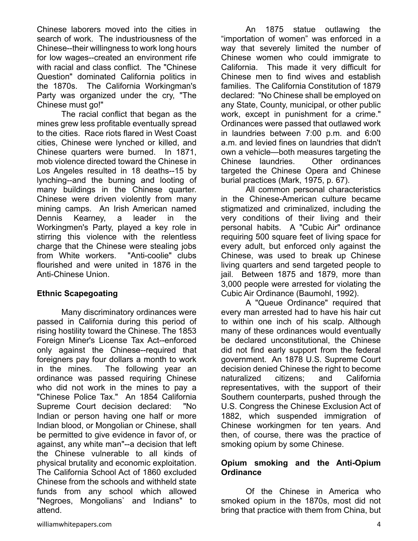Chinese laborers moved into the cities in search of work. The industriousness of the Chinese--their willingness to work long hours for low wages--created an environment rife with racial and class conflict. The "Chinese Question" dominated California politics in the 1870s. The California Workingman's Party was organized under the cry, "The Chinese must go!"

The racial conflict that began as the mines grew less profitable eventually spread to the cities. Race riots flared in West Coast cities, Chinese were lynched or killed, and Chinese quarters were burned. In 1871, mob violence directed toward the Chinese in Los Angeles resulted in 18 deaths--15 by lynching--and the burning and looting of many buildings in the Chinese quarter. Chinese were driven violently from many mining camps. An Irish American named Dennis Kearney, a leader in the Workingmen's Party, played a key role in stirring this violence with the relentless charge that the Chinese were stealing jobs from White workers. "Anti-coolie" clubs flourished and were united in 1876 in the Anti-Chinese Union.

#### **Ethnic Scapegoating**

Many discriminatory ordinances were passed in California during this period of rising hostility toward the Chinese. The 1853 Foreign Miner's License Tax Act--enforced only against the Chinese--required that foreigners pay four dollars a month to work in the mines. The following year an ordinance was passed requiring Chinese who did not work in the mines to pay a "Chinese Police Tax." An 1854 California Supreme Court decision declared: "No Indian or person having one half or more Indian blood, or Mongolian or Chinese, shall be permitted to give evidence in favor of, or against, any white man"--a decision that left the Chinese vulnerable to all kinds of physical brutality and economic exploitation. The California School Act of 1860 excluded Chinese from the schools and withheld state funds from any school which allowed "Negroes, Mongolians` and Indians" to attend.

An 1875 statue outlawing the "importation of women" was enforced in a way that severely limited the number of Chinese women who could immigrate to California. This made it very difficult for Chinese men to find wives and establish families. The California Constitution of 1879 declared: "No Chinese shall be employed on any State, County, municipal, or other public work, except in punishment for a crime." Ordinances were passed that outlawed work in laundries between 7:00 p.m. and 6:00 a.m. and levied fines on laundries that didn't own a vehicle—both measures targeting the Chinese laundries. Other ordinances targeted the Chinese Opera and Chinese burial practices (Mark, 1975, p. 67).

All common personal characteristics in the Chinese-American culture became stigmatized and criminalized, including the very conditions of their living and their personal habits. A "Cubic Air" ordinance requiring 500 square feet of living space for every adult, but enforced only against the Chinese, was used to break up Chinese living quarters and send targeted people to jail. Between 1875 and 1879, more than 3,000 people were arrested for violating the Cubic Air Ordinance (Baumohl, 1992).

A "Queue Ordinance" required that every man arrested had to have his hair cut to within one inch of his scalp. Although many of these ordinances would eventually be declared unconstitutional, the Chinese did not find early support from the federal government. An 1878 U.S. Supreme Court decision denied Chinese the right to become naturalized citizens; and California representatives, with the support of their Southern counterparts, pushed through the U.S. Congress the Chinese Exclusion Act of 1882, which suspended immigration of Chinese workingmen for ten years. And then, of course, there was the practice of smoking opium by some Chinese.

#### **Opium smoking and the Anti-Opium Ordinance**

Of the Chinese in America who smoked opium in the 1870s, most did not bring that practice with them from China, but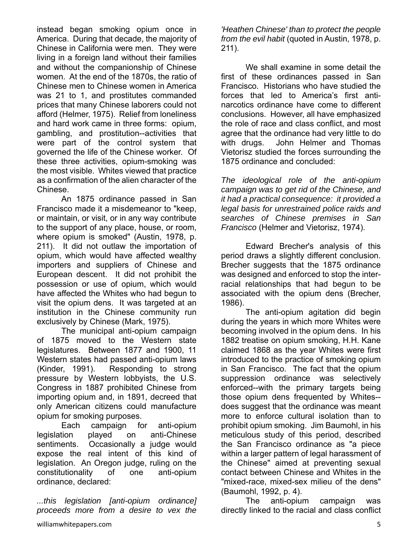instead began smoking opium once in America. During that decade, the majority of Chinese in California were men. They were living in a foreign land without their families and without the companionship of Chinese women. At the end of the 1870s, the ratio of Chinese men to Chinese women in America was 21 to 1, and prostitutes commanded prices that many Chinese laborers could not afford (Helmer, 1975). Relief from loneliness and hard work came in three forms: opium, gambling, and prostitution--activities that were part of the control system that governed the life of the Chinese worker. Of these three activities, opium-smoking was the most visible. Whites viewed that practice as a confirmation of the alien character of the Chinese.

An 1875 ordinance passed in San Francisco made it a misdemeanor to "keep, or maintain, or visit, or in any way contribute to the support of any place, house, or room, where opium is smoked" (Austin, 1978, p. 211). It did not outlaw the importation of opium, which would have affected wealthy importers and suppliers of Chinese and European descent. It did not prohibit the possession or use of opium, which would have affected the Whites who had begun to visit the opium dens. It was targeted at an institution in the Chinese community run exclusively by Chinese (Mark, 1975).

The municipal anti-opium campaign of 1875 moved to the Western state legislatures. Between 1877 and 1900, 11 Western states had passed anti-opium laws (Kinder, 1991). Responding to strong pressure by Western lobbyists, the U.S. Congress in 1887 prohibited Chinese from importing opium and, in 1891, decreed that only American citizens could manufacture opium for smoking purposes.

Each campaign for anti-opium legislation played on anti-Chinese sentiments. Occasionally a judge would expose the real intent of this kind of legislation. An Oregon judge, ruling on the constitutionality of one anti-opium ordinance, declared:

*...this legislation [anti-opium ordinance] proceeds more from a desire to vex the* 

*'Heathen Chinese' than to protect the people from the evil habit* (quoted in Austin, 1978, p. 211).

We shall examine in some detail the first of these ordinances passed in San Francisco. Historians who have studied the forces that led to America's first antinarcotics ordinance have come to different conclusions. However, all have emphasized the role of race and class conflict, and most agree that the ordinance had very little to do with drugs. John Helmer and Thomas Vietorisz studied the forces surrounding the 1875 ordinance and concluded:

*The ideological role of the anti-opium campaign was to get rid of the Chinese, and it had a practical consequence: it provided a legal basis for unrestrained police raids and searches of Chinese premises in San Francisco* (Helmer and Vietorisz, 1974).

Edward Brecher's analysis of this period draws a slightly different conclusion. Brecher suggests that the 1875 ordinance was designed and enforced to stop the interracial relationships that had begun to be associated with the opium dens (Brecher, 1986).

 The anti-opium agitation did begin during the years in which more Whites were becoming involved in the opium dens. In his 1882 treatise on opium smoking, H.H. Kane claimed 1868 as the year Whites were first introduced to the practice of smoking opium in San Francisco. The fact that the opium suppression ordinance was selectively enforced--with the primary targets being those opium dens frequented by Whites- does suggest that the ordinance was meant more to enforce cultural isolation than to prohibit opium smoking. Jim Baumohl, in his meticulous study of this period, described the San Francisco ordinance as "a piece within a larger pattern of legal harassment of the Chinese" aimed at preventing sexual contact between Chinese and Whites in the "mixed-race, mixed-sex milieu of the dens" (Baumohl, 1992, p. 4).

The anti-opium campaign was directly linked to the racial and class conflict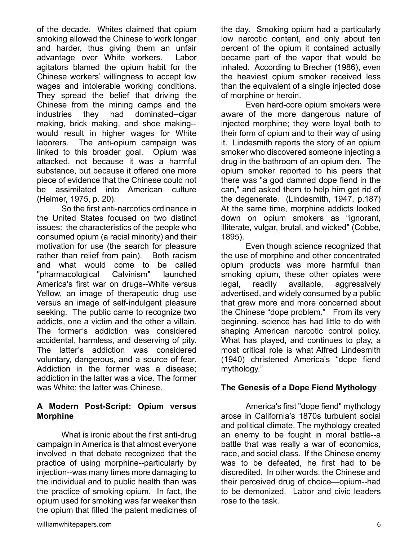of the decade. Whites claimed that opium smoking allowed the Chinese to work longer and harder, thus giving them an unfair advantage over White workers. Labor agitators blamed the opium habit for the Chinese workers' willingness to accept low wages and intolerable working conditions. They spread the belief that driving the Chinese from the mining camps and the industries they had dominated--cigar making, brick making, and shoe making- would result in higher wages for White laborers. The anti-opium campaign was linked to this broader goal. Opium was attacked, not because it was a harmful substance, but because it offered one more piece of evidence that the Chinese could not be assimilated into American culture (Helmer, 1975, p. 20).

So the first anti-narcotics ordinance in the United States focused on two distinct issues: the characteristics of the people who consumed opium (a racial minority) and their motivation for use (the search for pleasure rather than relief from pain). Both racism and what would come to be called "pharmacological Calvinism" launched America's first war on drugs--White versus Yellow, an image of therapeutic drug use versus an image of self-indulgent pleasure seeking. The public came to recognize two addicts, one a victim and the other a villain. The former's addiction was considered accidental, harmless, and deserving of pity. The latter's addiction was considered voluntary, dangerous, and a source of fear. Addiction in the former was a disease; addiction in the latter was a vice. The former was White; the latter was Chinese.

#### **A Modern Post-Script: Opium versus Morphine**

What is ironic about the first anti-drug campaign in America is that almost everyone involved in that debate recognized that the practice of using morphine--particularly by injection--was many times more damaging to the individual and to public health than was the practice of smoking opium. In fact, the opium used for smoking was far weaker than the opium that filled the patent medicines of

Even hard-core opium smokers were aware of the more dangerous nature of injected morphine; they were loyal both to their form of opium and to their way of using it. Lindesmith reports the story of an opium smoker who discovered someone injecting a drug in the bathroom of an opium den. The opium smoker reported to his peers that there was "a god damned dope fiend in the can," and asked them to help him get rid of the degenerate. (Lindesmith, 1947, p.187) At the same time, morphine addicts looked down on opium smokers as "ignorant, illiterate, vulgar, brutal, and wicked" (Cobbe, 1895).

Even though science recognized that the use of morphine and other concentrated opium products was more harmful than smoking opium, these other opiates were legal, readily available, aggressively advertised, and widely consumed by a public that grew more and more concerned about the Chinese "dope problem." From its very beginning, science has had little to do with shaping American narcotic control policy. What has played, and continues to play, a most critical role is what Alfred Lindesmith (1940) christened America's "dope fiend mythology."

#### **The Genesis of a Dope Fiend Mythology**

America's first "dope fiend" mythology arose in California's 1870s turbulent social and political climate. The mythology created an enemy to be fought in moral battle--a battle that was really a war of economics, race, and social class. If the Chinese enemy was to be defeated, he first had to be discredited. In other words, the Chinese and their perceived drug of choice—opium--had to be demonized. Labor and civic leaders rose to the task.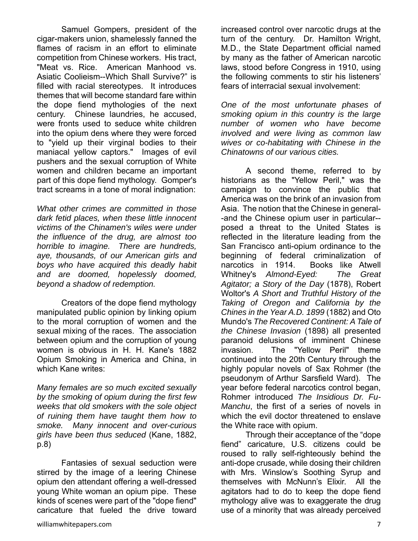Samuel Gompers, president of the cigar-makers union, shamelessly fanned the flames of racism in an effort to eliminate competition from Chinese workers. His tract, "Meat vs. Rice. American Manhood vs. Asiatic Coolieism--Which Shall Survive?" is filled with racial stereotypes. It introduces themes that will become standard fare within the dope fiend mythologies of the next century. Chinese laundries, he accused, were fronts used to seduce white children into the opium dens where they were forced to "yield up their virginal bodies to their maniacal yellow captors." Images of evil pushers and the sexual corruption of White women and children became an important part of this dope fiend mythology. Gomper's tract screams in a tone of moral indignation:

*What other crimes are committed in those dark fetid places, when these little innocent victims of the Chinamen's wiles were under the influence of the drug, are almost too horrible to imagine. There are hundreds, aye, thousands, of our American girls and boys who have acquired this deadly habit and are doomed, hopelessly doomed, beyond a shadow of redemption.* 

Creators of the dope fiend mythology manipulated public opinion by linking opium to the moral corruption of women and the sexual mixing of the races. The association between opium and the corruption of young women is obvious in H. H. Kane's 1882 Opium Smoking in America and China, in which Kane writes:

*Many females are so much excited sexually by the smoking of opium during the first few weeks that old smokers with the sole object of ruining them have taught them how to smoke. Many innocent and over-curious girls have been thus seduced* (Kane, 1882, p.8)

Fantasies of sexual seduction were stirred by the image of a leering Chinese opium den attendant offering a well-dressed young White woman an opium pipe. These kinds of scenes were part of the "dope fiend" caricature that fueled the drive toward increased control over narcotic drugs at the turn of the century. Dr. Hamilton Wright, M.D., the State Department official named by many as the father of American narcotic laws, stood before Congress in 1910, using the following comments to stir his listeners' fears of interracial sexual involvement:

*One of the most unfortunate phases of smoking opium in this country is the large number of women who have become involved and were living as common law wives or co-habitating with Chinese in the Chinatowns of our various cities.* 

A second theme, referred to by historians as the "Yellow Peril," was the campaign to convince the public that America was on the brink of an invasion from Asia. The notion that the Chinese in general- -and the Chinese opium user in particular- posed a threat to the United States is reflected in the literature leading from the San Francisco anti-opium ordinance to the beginning of federal criminalization of narcotics in 1914. Books like Atwell Whitney's *Almond-Eyed: The Great Agitator; a Story of the Day* (1878), Robert Woltor's *A Short and Truthful History of the Taking of Oregon and California by the Chines in the Year A.D. 1899* (1882) and Oto Mundo's *The Recovered Continent: A Tale of the Chinese Invasion* (1898) all presented paranoid delusions of imminent Chinese invasion. The "Yellow Peril" theme continued into the 20th Century through the highly popular novels of Sax Rohmer (the pseudonym of Arthur Sarsfield Ward). The year before federal narcotics control began, Rohmer introduced *The Insidious Dr. Fu-Manchu*, the first of a series of novels in which the evil doctor threatened to enslave the White race with opium.

Through their acceptance of the "dope fiend" caricature, U.S. citizens could be roused to rally self-righteously behind the anti-dope crusade, while dosing their children with Mrs. Winslow's Soothing Syrup and themselves with McNunn's Elixir. All the agitators had to do to keep the dope fiend mythology alive was to exaggerate the drug use of a minority that was already perceived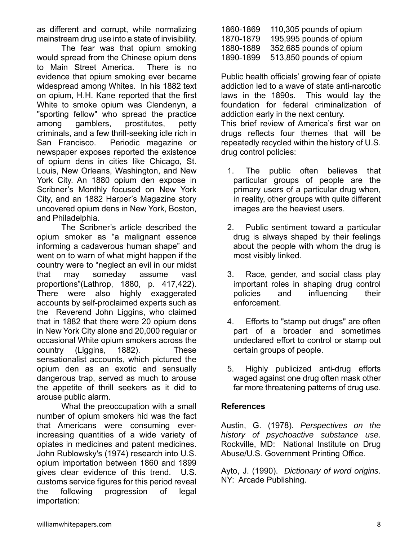as different and corrupt, while normalizing mainstream drug use into a state of invisibility.

The fear was that opium smoking would spread from the Chinese opium dens to Main Street America. There is no evidence that opium smoking ever became widespread among Whites. In his 1882 text on opium, H.H. Kane reported that the first White to smoke opium was Clendenyn, a "sporting fellow" who spread the practice among gamblers, prostitutes, petty criminals, and a few thrill-seeking idle rich in San Francisco. Periodic magazine or newspaper exposes reported the existence of opium dens in cities like Chicago, St. Louis, New Orleans, Washington, and New York City. An 1880 opium den expose in Scribner's Monthly focused on New York City, and an 1882 Harper's Magazine story uncovered opium dens in New York, Boston, and Philadelphia.

The Scribner's article described the opium smoker as "a malignant essence informing a cadaverous human shape" and went on to warn of what might happen if the country were to "neglect an evil in our midst that may someday assume vast proportions"(Lathrop, 1880, p. 417,422). There were also highly exaggerated accounts by self-proclaimed experts such as the Reverend John Liggins, who claimed that in 1882 that there were 20 opium dens in New York City alone and 20,000 regular or occasional White opium smokers across the country (Liggins, 1882). These sensationalist accounts, which pictured the opium den as an exotic and sensually dangerous trap, served as much to arouse the appetite of thrill seekers as it did to arouse public alarm.

What the preoccupation with a small number of opium smokers hid was the fact that Americans were consuming everincreasing quantities of a wide variety of opiates in medicines and patent medicines. John Rublowsky's (1974) research into U.S. opium importation between 1860 and 1899 gives clear evidence of this trend. U.S. customs service figures for this period reveal the following progression of legal importation:

| 1860-1869 | 110,305 pounds of opium |
|-----------|-------------------------|
| 1870-1879 | 195,995 pounds of opium |
| 1880-1889 | 352,685 pounds of opium |
| 1890-1899 | 513,850 pounds of opium |

Public health officials' growing fear of opiate addiction led to a wave of state anti-narcotic laws in the 1890s. This would lay the foundation for federal criminalization of addiction early in the next century. This brief review of America's first war on drugs reflects four themes that will be repeatedly recycled within the history of U.S. drug control policies:

- 1. The public often believes that particular groups of people are the primary users of a particular drug when, in reality, other groups with quite different images are the heaviest users.
- 2. Public sentiment toward a particular drug is always shaped by their feelings about the people with whom the drug is most visibly linked.
- 3. Race, gender, and social class play important roles in shaping drug control policies and influencing their enforcement.
- 4. Efforts to "stamp out drugs" are often part of a broader and sometimes undeclared effort to control or stamp out certain groups of people.
- 5. Highly publicized anti-drug efforts waged against one drug often mask other far more threatening patterns of drug use.

### **References**

Austin, G. (1978). *Perspectives on the history of psychoactive substance use*. Rockville, MD: National Institute on Drug Abuse/U.S. Government Printing Office.

Ayto, J. (1990). *Dictionary of word origins*. NY: Arcade Publishing.